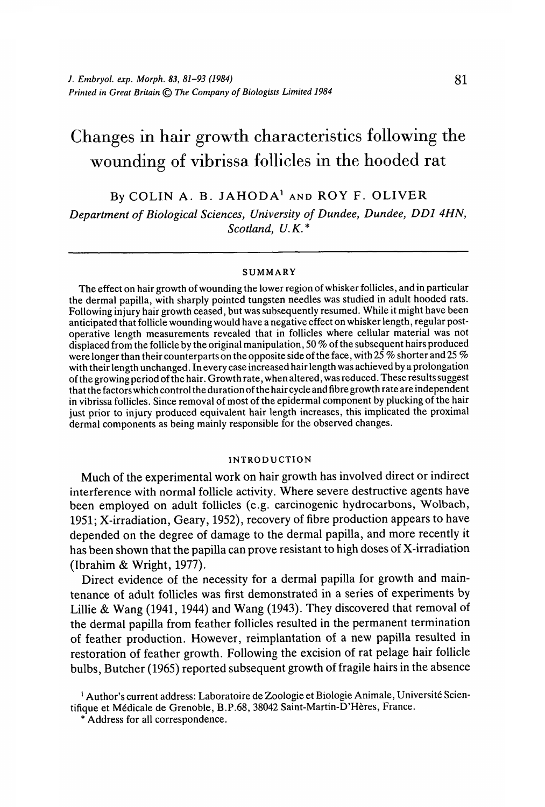# Changes in hair growth characteristics following the wounding of vibrissa follicles in the hooded rat

By COLIN A. B. JAHODA<sup>1</sup> AND ROY F. OLIVER *Department of Biological Sciences, University of Dundee, Dundee, DD1 4HN, Scotland, U.K.\**

#### SUMMARY

The effect on hair growth of wounding the lower region of whisker follicles, and in particular the dermal papilla, with sharply pointed tungsten needles was studied in adult hooded rats. Following injury hair growth ceased, but was subsequently resumed. While it might have been anticipated that follicle wounding would have a negative effect on whisker length, regular postoperative length measurements revealed that in follicles where cellular material was not displaced from the follicle by the original manipulation, 50 *%* of the subsequent hairs produced were longer than their counterparts on the opposite side of the face, with 25 *%* shorter and 25 % with their length unchanged. In every case increased hair length was achieved by a prolongation of the growing period of the hair. Growth rate, when altered, was reduced. These results suggest that the factors which control the duration of the hair cycle and fibre growth rate are independent in vibrissa follicles. Since removal of most of the epidermal component by plucking of the hair just prior to injury produced equivalent hair length increases, this implicated the proximal dermal components as being mainly responsible for the observed changes.

## INTRODUCTION

Much of the experimental work on hair growth has involved direct or indirect interference with normal follicle activity. Where severe destructive agents have been employed on adult follicles (e.g. carcinogenic hydrocarbons, Wolbach, 1951; X-irradiation, Geary, 1952), recovery of fibre production appears to have depended on the degree of damage to the dermal papilla, and more recently it has been shown that the papilla can prove resistant to high doses of X-irradiation (Ibrahim & Wright, 1977).

Direct evidence of the necessity for a dermal papilla for growth and maintenance of adult follicles was first demonstrated in a series of experiments by Lillie & Wang (1941, 1944) and Wang (1943). They discovered that removal of the dermal papilla from feather follicles resulted in the permanent termination of feather production. However, reimplantation of a new papilla resulted in restoration of feather growth. Following the excision of rat pelage hair follicle bulbs, Butcher (1965) reported subsequent growth of fragile hairs in the absence

<sup>1</sup> Author's current address: Laboratoire de Zoologie et Biologie Animale, Université Scientifique et Médicale de Grenoble, B.P.68, 38042 Saint-Martin-D'Hères, France.<br>\* Address for all correspondence.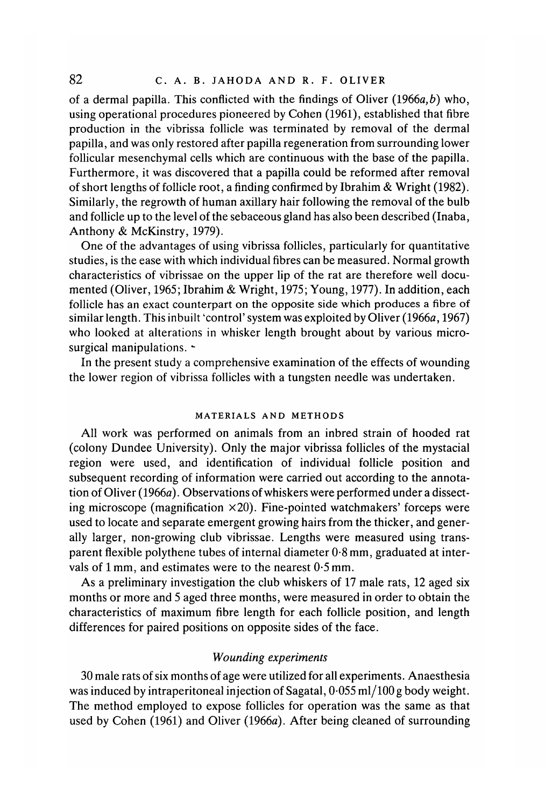of a dermal papilla. This conflicted with the findings of Oliver (1966a,*b)* who, using operational procedures pioneered by Cohen (1961), established that fibre production in the vibrissa follicle was terminated by removal of the dermal papilla, and was only restored after papilla regeneration from surrounding lower follicular mesenchymal cells which are continuous with the base of the papilla. Furthermore, it was discovered that a papilla could be reformed after removal of short lengths of follicle root, a finding confirmed by Ibrahim & Wright (1982). Similarly, the regrowth of human axillary hair following the removal of the bulb and follicle up to the level of the sebaceous gland has also been described (Inaba, Anthony & McKinstry, 1979).

One of the advantages of using vibrissa follicles, particularly for quantitative studies, is the ease with which individual fibres can be measured. Normal growth characteristics of vibrissae on the upper lip of the rat are therefore well documented (Oliver, 1965; Ibrahim & Wright, 1975; Young, 1977). In addition, each follicle has an exact counterpart on the opposite side which produces a fibre of similar length. This inbuilt 'control' system was exploited by Oliver (1966a, 1967) who looked at alterations in whisker length brought about by various microsurgical manipulations. -

In the present study a comprehensive examination of the effects of wounding the lower region of vibrissa follicles with a tungsten needle was undertaken.

# MATERIALS AND METHODS

All work was performed on animals from an inbred strain of hooded rat (colony Dundee University). Only the major vibrissa follicles of the mystacial region were used, and identification of individual follicle position and subsequent recording of information were carried out according to the annotation of Oliver (1966a). Observations of whiskers were performed under a dissecting microscope (magnification  $\times$ 20). Fine-pointed watchmakers' forceps were used to locate and separate emergent growing hairs from the thicker, and generally larger, non-growing club vibrissae. Lengths were measured using transparent flexible polythene tubes of internal diameter 0-8 mm, graduated at intervals of 1 mm, and estimates were to the nearest 0-5 mm.

As a preliminary investigation the club whiskers of 17 male rats, 12 aged six months or more and 5 aged three months, were measured in order to obtain the characteristics of maximum fibre length for each follicle position, and length differences for paired positions on opposite sides of the face.

# *Wounding experiments*

30 male rats of six months of age were utilized for all experiments. Anaesthesia was induced by intraperitoneal injection of Sagatal, 0-055 ml/100 g body weight. The method employed to expose follicles for operation was the same as that used by Cohen (1961) and Oliver (1966a). After being cleaned of surrounding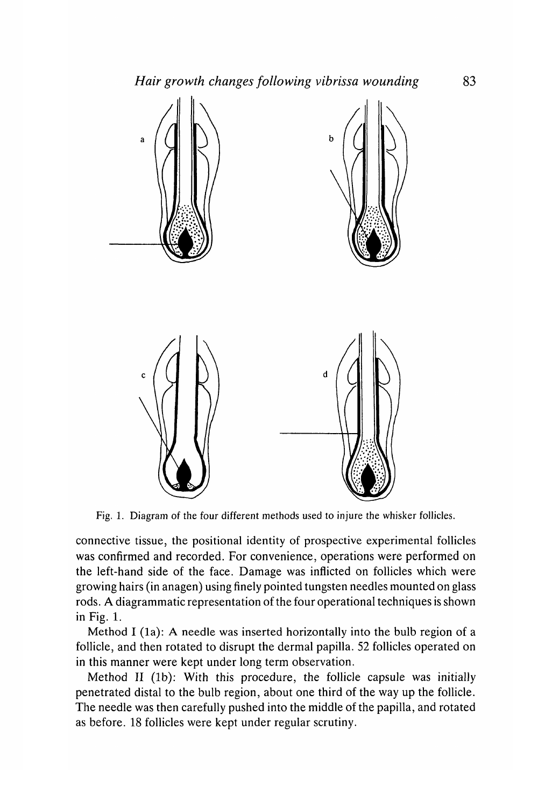

Fig. 1. Diagram of the four different methods used to injure the whisker follicles.

connective tissue, the positional identity of prospective experimental follicles was confirmed and recorded. For convenience, operations were performed on the left-hand side of the face. Damage was inflicted on follicles which were growing hairs (in anagen) using finely pointed tungsten needles mounted on glass rods. A diagrammatic representation of the four operational techniques is shown in Fig. 1.

Method I (1a): A needle was inserted horizontally into the bulb region of a follicle, and then rotated to disrupt the dermal papilla. 52 follicles operated on in this manner were kept under long term observation.

Method II (lb): With this procedure, the follicle capsule was initially penetrated distal to the bulb region, about one third of the way up the follicle. The needle was then carefully pushed into the middle of the papilla, and rotated as before. 18 follicles were kept under regular scrutiny.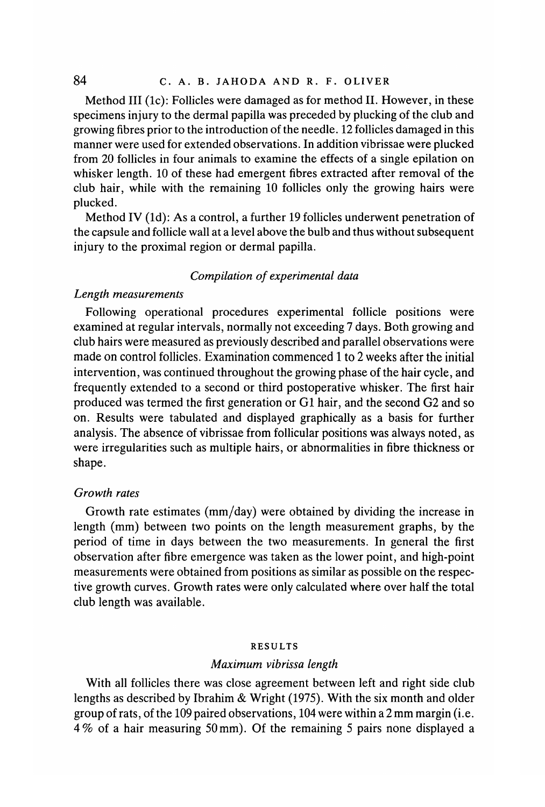Method III (lc): Follicles were damaged as for method II. However, in these specimens injury to the dermal papilla was preceded by plucking of the club and growing fibres prior to the introduction of the needle. 12 follicles damaged in this manner were used for extended observations. In addition vibrissae were plucked from 20 follicles in four animals to examine the effects of a single epilation on whisker length. 10 of these had emergent fibres extracted after removal of the club hair, while with the remaining 10 follicles only the growing hairs were plucked.

Method IV (Id): As a control, a further 19 follicles underwent penetration of the capsule and follicle wall at a level above the bulb and thus without subsequent injury to the proximal region or dermal papilla.

# *Compilation of experimental data*

# *Length measurements*

Following operational procedures experimental follicle positions were examined at regular intervals, normally not exceeding 7 days. Both growing and club hairs were measured as previously described and parallel observations were made on control follicles. Examination commenced 1 to 2 weeks after the initial intervention, was continued throughout the growing phase of the hair cycle, and frequently extended to a second or third postoperative whisker. The first hair produced was termed the first generation or Gl hair, and the second G2 and so on. Results were tabulated and displayed graphically as a basis for further analysis. The absence of vibrissae from follicular positions was always noted, as were irregularities such as multiple hairs, or abnormalities in fibre thickness or shape.

## *Growth rates*

Growth rate estimates (mm/day) were obtained by dividing the increase in length (mm) between two points on the length measurement graphs, by the period of time in days between the two measurements. In general the first observation after fibre emergence was taken as the lower point, and high-point measurements were obtained from positions as similar as possible on the respective growth curves. Growth rates were only calculated where over half the total club length was available.

#### RESULTS

#### *Maximum vibrissa length*

With all follicles there was close agreement between left and right side club lengths as described by Ibrahim & Wright (1975). With the six month and older group of rats, of the 109 paired observations, 104 were within a 2 mm margin (i.e. 4% of a hair measuring 50 mm). Of the remaining 5 pairs none displayed a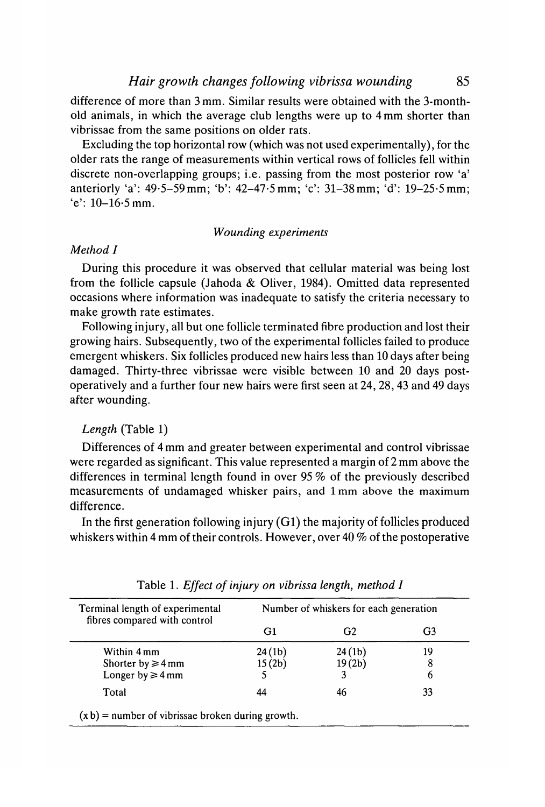difference of more than 3 mm. Similar results were obtained with the 3-monthold animals, in which the average club lengths were up to 4 mm shorter than vibrissae from the same positions on older rats.

Excluding the top horizontal row (which was not used experimentally), for the older rats the range of measurements within vertical rows of follicles fell within discrete non-overlapping groups; i.e. passing from the most posterior row 'a' anteriorly 'a': 49-5-59mm; 'b': 42-47-5 mm; 'c': 31-38mm; 'd': 19-25-5 mm;  $'e$ : 10-16.5 mm.

# *Wounding experiments*

# *Method I*

During this procedure it was observed that cellular material was being lost from the follicle capsule (Jahoda & Oliver, 1984). Omitted data represented occasions where information was inadequate to satisfy the criteria necessary to make growth rate estimates.

Following injury, all but one follicle terminated fibre production and lost their growing hairs. Subsequently, two of the experimental follicles failed to produce emergent whiskers. Six follicles produced new hairs less than 10 days after being damaged. Thirty-three vibrissae were visible between 10 and 20 days postoperatively and a further four new hairs were first seen at 24, 28, 43 and 49 days after wounding.

# *Length* (Table 1)

Differences of 4 mm and greater between experimental and control vibrissae were regarded as significant. This value represented a margin of 2 mm above the differences in terminal length found in over 95 % of the previously described measurements of undamaged whisker pairs, and lmm above the maximum difference.

In the first generation following injury (Gl) the majority of follicles produced whiskers within 4 mm of their controls. However, over 40 % of the postoperative

| Terminal length of experimental<br>fibres compared with control | Number of whiskers for each generation |                     |    |
|-----------------------------------------------------------------|----------------------------------------|---------------------|----|
|                                                                 | G1                                     | G <sub>2</sub>      | G3 |
| Within 4 mm                                                     | 24(1 <sub>b</sub> )                    | 24(1 <sub>b</sub> ) | 19 |
| Shorter by $\geq 4$ mm                                          | 15(2b)                                 | 19(2 <sub>b</sub> ) | 8  |
| Longer by $\geq 4$ mm                                           |                                        |                     | 6  |
| Total                                                           | 44                                     | 46                  | 33 |

Table 1. *Effect of injury on vibrissa length, method I*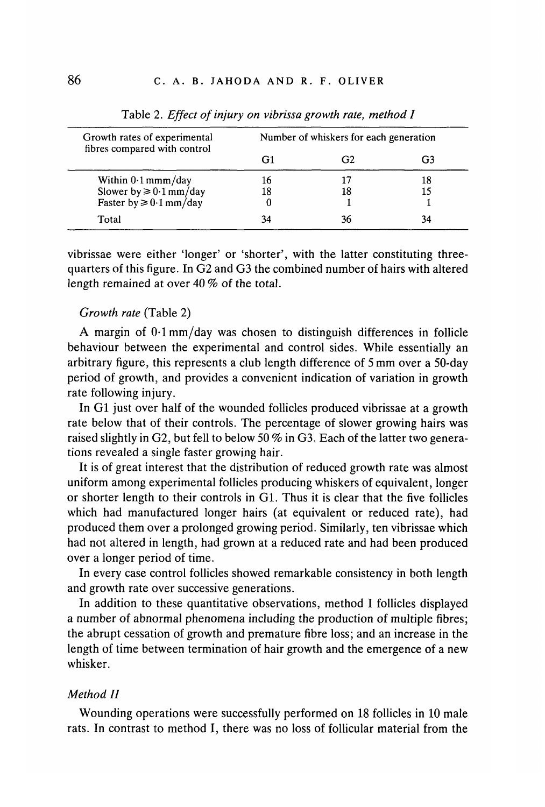| Growth rates of experimental<br>fibres compared with control | Number of whiskers for each generation |    |    |  |
|--------------------------------------------------------------|----------------------------------------|----|----|--|
|                                                              | G1                                     | G2 | G3 |  |
| Within 0.1 mmm/day                                           | 16                                     |    | 18 |  |
| Slower by $\geq 0.1$ mm/day                                  | 18                                     | 18 |    |  |
| Faster by $\geq 0.1$ mm/day                                  |                                        |    |    |  |
| Total                                                        |                                        | 36 | 34 |  |

Table 2. *Effect of injury on vibrissa growth rate, method I*

vibrissae were either 'longer' or 'shorter', with the latter constituting threequarters of this figure. In G2 and G3 the combined number of hairs with altered length remained at over 40 % of the total.

# *Growth rate* (Table 2)

A margin of 0-1 mm/day was chosen to distinguish differences in follicle behaviour between the experimental and control sides. While essentially an arbitrary figure, this represents a club length difference of 5 mm over a 50-day period of growth, and provides a convenient indication of variation in growth rate following injury.

In Gl just over half of the wounded follicles produced vibrissae at a growth rate below that of their controls. The percentage of slower growing hairs was raised slightly in G2, but fell to below 50 % in G3. Each of the latter two generations revealed a single faster growing hair.

It is of great interest that the distribution of reduced growth rate was almost uniform among experimental follicles producing whiskers of equivalent, longer or shorter length to their controls in Gl. Thus it is clear that the five follicles which had manufactured longer hairs (at equivalent or reduced rate), had produced them over a prolonged growing period. Similarly, ten vibrissae which had not altered in length, had grown at a reduced rate and had been produced over a longer period of time.

In every case control follicles showed remarkable consistency in both length and growth rate over successive generations.

In addition to these quantitative observations, method I follicles displayed a number of abnormal phenomena including the production of multiple fibres; the abrupt cessation of growth and premature fibre loss; and an increase in the length of time between termination of hair growth and the emergence of a new whisker.

## *Method II*

Wounding operations were successfully performed on 18 follicles in 10 male rats. In contrast to method I, there was no loss of follicular material from the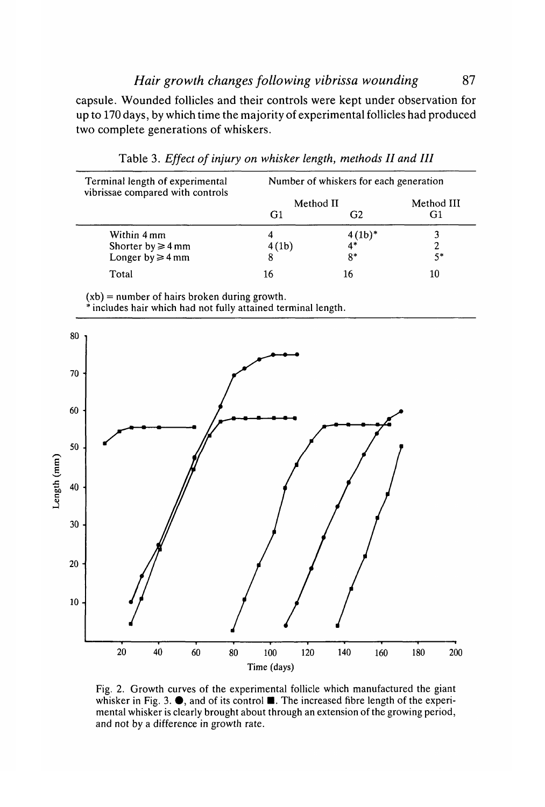capsule. Wounded follicles and their controls were kept under observation for up to 170 days, by which time the majority of experimental follicles had produced two complete generations of whiskers.

| Terminal length of experimental<br>vibrissae compared with controls | Number of whiskers for each generation |                       |            |  |
|---------------------------------------------------------------------|----------------------------------------|-----------------------|------------|--|
|                                                                     | Method II                              |                       | Method III |  |
|                                                                     | G <sub>1</sub>                         | G <sub>2</sub>        | G1         |  |
| Within 4 mm                                                         |                                        | $\frac{4(1b)^*}{4^*}$ |            |  |
| Shorter by $\geq 4$ mm                                              | 4(lb)                                  |                       |            |  |
| Longer by $\geq 4$ mm                                               |                                        | $8*$                  | 5*         |  |
| Total                                                               | 16                                     |                       | 10         |  |

Table 3. *Effect of injury on whisker length, methods II and HI*

(xb) = number of hairs broken during growth.

\* includes hair which had not fully attained terminal length.



Fig. 2. Growth curves of the experimental follicle which manufactured the giant whisker in Fig. 3.  $\bullet$ , and of its control  $\blacksquare$ . The increased fibre length of the experimental whisker is clearly brought about through an extension of the growing period, and not by a difference in growth rate.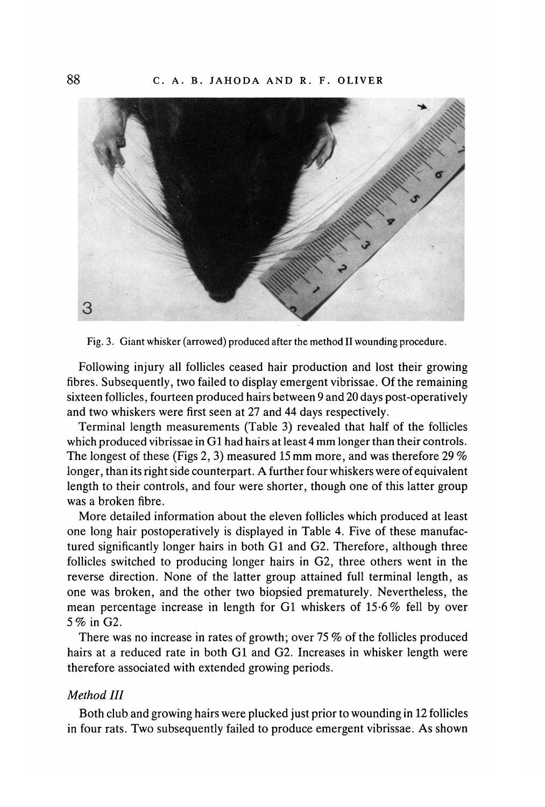

Fig. 3. Giant whisker (arrowed) produced after the method II wounding procedure.

Following injury all follicles ceased hair production and lost their growing fibres. Subsequently, two failed to display emergent vibrissae. Of the remaining sixteen follicles, fourteen produced hairs between 9 and 20 days post-operatively and two whiskers were first seen at 27 and 44 days respectively.

Terminal length measurements (Table 3) revealed that half of the follicles which produced vibrissae in Gl had hairs at least 4 mm longer than their controls. The longest of these (Figs 2, 3) measured 15 mm more, and was therefore 29 % longer, than its right side counterpart. A further four whiskers were of equivalent length to their controls, and four were shorter, though one of this latter group was a broken fibre.

More detailed information about the eleven follicles which produced at least one long hair postoperatively is displayed in Table 4. Five of these manufactured significantly longer hairs in both Gl and G2. Therefore, although three follicles switched to producing longer hairs in G2, three others went in the reverse direction. None of the latter group attained full terminal length, as one was broken, and the other two biopsied prematurely. Nevertheless, the mean percentage increase in length for Gl whiskers of 15-6% fell by over 5 % in G2.

There was no increase in rates of growth; over 75 % of the follicles produced hairs at a reduced rate in both Gl and G2. Increases in whisker length were therefore associated with extended growing periods.

## *Method III*

Both club and growing hairs were plucked just prior to wounding in 12 follicles in four rats. Two subsequently failed to produce emergent vibrissae. As shown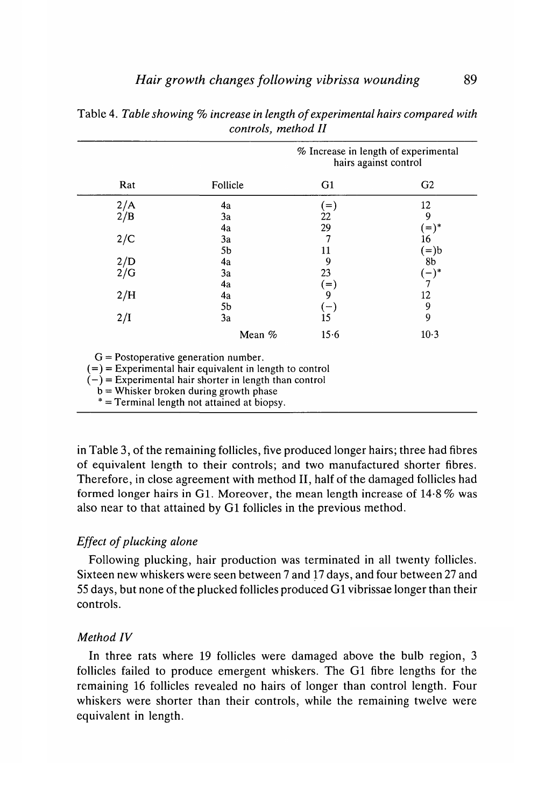|                                                                                                                                                                                                                                                            |                | % Increase in length of experimental<br>hairs against control |                          |  |  |
|------------------------------------------------------------------------------------------------------------------------------------------------------------------------------------------------------------------------------------------------------------|----------------|---------------------------------------------------------------|--------------------------|--|--|
| Rat                                                                                                                                                                                                                                                        | Follicle       | G1                                                            | G <sub>2</sub>           |  |  |
| 2/A                                                                                                                                                                                                                                                        | 4a             | $(=)$                                                         | 12                       |  |  |
| 2/B                                                                                                                                                                                                                                                        | 3a             | 22                                                            | 9                        |  |  |
| 2/C                                                                                                                                                                                                                                                        | 4a<br>3a<br>5b | 29<br>7<br>11                                                 | $(=)^*$<br>16<br>$(=)$ b |  |  |
| $_{2/G}^{2/D}$                                                                                                                                                                                                                                             | 4a<br>3a       | 9<br>23                                                       | 8b<br>$(-)^*$            |  |  |
| 2/H                                                                                                                                                                                                                                                        | 4a<br>4a       | $(=)$<br>9                                                    | 7<br>12                  |  |  |
| 2/I                                                                                                                                                                                                                                                        | 5b<br>3a       | $(-)$<br>15                                                   | 9<br>9                   |  |  |
|                                                                                                                                                                                                                                                            | Mean $%$       | 15.6                                                          | $10-3$                   |  |  |
| $G = Postoperative generation number.$<br>$(=)$ = Experimental hair equivalent in length to control<br>$(-)$ = Experimental hair shorter in length than control<br>$b =$ Whisker broken during growth phase<br>* = Terminal length not attained at biopsy. |                |                                                               |                          |  |  |

Table 4. *Table showing % increase in length of experimental hairs compared with controls, method II*

in Table 3, of the remaining follicles, five produced longer hairs; three had fibres of equivalent length to their controls; and two manufactured shorter fibres. Therefore, in close agreement with method II, half of the damaged follicles had formed longer hairs in Gl. Moreover, the mean length increase of 14-8 % was also near to that attained by Gl follicles in the previous method.

# *Effect of plucking alone*

Following plucking, hair production was terminated in all twenty follicles. Sixteen new whiskers were seen between 7 and 17 days, and four between 27 and 55 days, but none of the plucked follicles produced Gl vibrissae longer than their controls.

# *Method IV*

In three rats where 19 follicles were damaged above the bulb region, 3 follicles failed to produce emergent whiskers. The Gl fibre lengths for the remaining 16 follicles revealed no hairs of longer than control length. Four whiskers were shorter than their controls, while the remaining twelve were equivalent in length.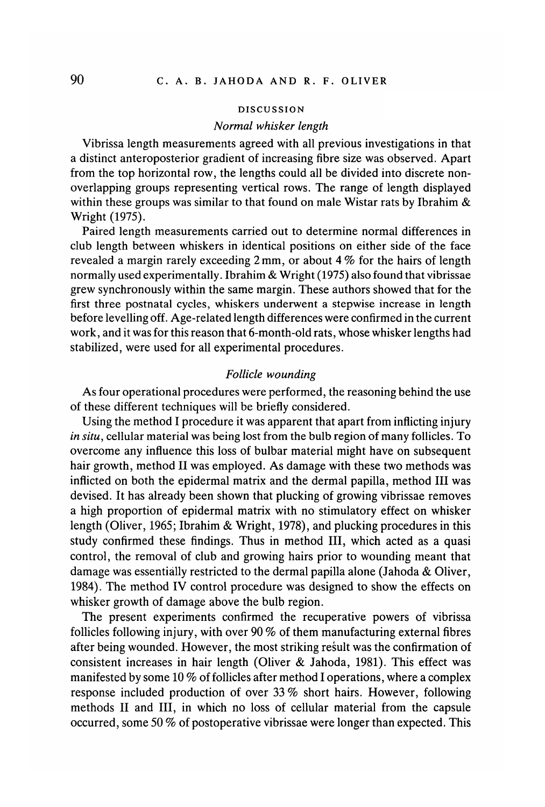## DISCUSSION

#### *Normal whisker length*

Vibrissa length measurements agreed with all previous investigations in that a distinct anteroposterior gradient of increasing fibre size was observed. Apart from the top horizontal row, the lengths could all be divided into discrete nonoverlapping groups representing vertical rows. The range of length displayed within these groups was similar to that found on male Wistar rats by Ibrahim  $\&$ Wright (1975).

Paired length measurements carried out to determine normal differences in club length between whiskers in identical positions on either side of the face revealed a margin rarely exceeding 2 mm, or about 4 % for the hairs of length normally used experimentally. Ibrahim & Wright (1975) also found that vibrissae grew synchronously within the same margin. These authors showed that for the first three postnatal cycles, whiskers underwent a stepwise increase in length before levelling off. Age-related length differences were confirmed in the current work, and it was for this reason that 6-month-old rats, whose whisker lengths had stabilized, were used for all experimental procedures.

### *Follicle wounding*

As four operational procedures were performed, the reasoning behind the use of these different techniques will be briefly considered.

Using the method I procedure it was apparent that apart from inflicting injury *in situ,* cellular material was being lost from the bulb region of many follicles. To overcome any influence this loss of bulbar material might have on subsequent hair growth, method II was employed. As damage with these two methods was inflicted on both the epidermal matrix and the dermal papilla, method III was devised. It has already been shown that plucking of growing vibrissae removes a high proportion of epidermal matrix with no stimulatory effect on whisker length (Oliver, 1965; Ibrahim & Wright, 1978), and plucking procedures in this study confirmed these findings. Thus in method III, which acted as a quasi control, the removal of club and growing hairs prior to wounding meant that damage was essentially restricted to the dermal papilla alone (Jahoda & Oliver, 1984). The method IV control procedure was designed to show the effects on whisker growth of damage above the bulb region.

The present experiments confirmed the recuperative powers of vibrissa follicles following injury, with over 90 % of them manufacturing external fibres after being wounded. However, the most striking result was the confirmation of consistent increases in hair length (Oliver & Jahoda, 1981). This effect was manifested by some 10 % of follicles after method I operations, where a complex response included production of over 33 % short hairs. However, following methods II and III, in which no loss of cellular material from the capsule occurred, some 50 % of postoperative vibrissae were longer than expected. This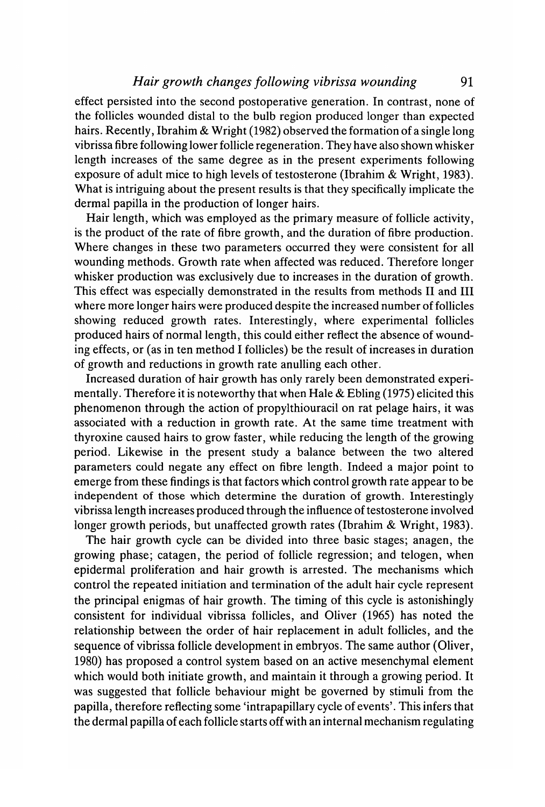effect persisted into the second postoperative generation. In contrast, none of the follicles wounded distal to the bulb region produced longer than expected hairs. Recently, Ibrahim & Wright (1982) observed the formation of a single long vibrissa fibre following lower follicle regeneration. They have also shown whisker length increases of the same degree as in the present experiments following exposure of adult mice to high levels of testosterone (Ibrahim & Wright, 1983). What is intriguing about the present results is that they specifically implicate the dermal papilla in the production of longer hairs.

Hair length, which was employed as the primary measure of follicle activity, is the product of the rate of fibre growth, and the duration of fibre production. Where changes in these two parameters occurred they were consistent for all wounding methods. Growth rate when affected was reduced. Therefore longer whisker production was exclusively due to increases in the duration of growth. This effect was especially demonstrated in the results from methods II and III where more longer hairs were produced despite the increased number of follicles showing reduced growth rates. Interestingly, where experimental follicles produced hairs of normal length, this could either reflect the absence of wounding effects, or (as in ten method I follicles) be the result of increases in duration of growth and reductions in growth rate anulling each other.

Increased duration of hair growth has only rarely been demonstrated experimentally. Therefore it is noteworthy that when Hale & Ebling (1975) elicited this phenomenon through the action of propylthiouracil on rat pelage hairs, it was associated with a reduction in growth rate. At the same time treatment with thyroxine caused hairs to grow faster, while reducing the length of the growing period. Likewise in the present study a balance between the two altered parameters could negate any effect on fibre length. Indeed a major point to emerge from these findings is that factors which control growth rate appear to be independent of those which determine the duration of growth. Interestingly vibrissa length increases produced through the influence of testosterone involved longer growth periods, but unaffected growth rates (Ibrahim & Wright, 1983).

The hair growth cycle can be divided into three basic stages; anagen, the growing phase; catagen, the period of follicle regression; and telogen, when epidermal proliferation and hair growth is arrested. The mechanisms which control the repeated initiation and termination of the adult hair cycle represent the principal enigmas of hair growth. The timing of this cycle is astonishingly consistent for individual vibrissa follicles, and Oliver (1965) has noted the relationship between the order of hair replacement in adult follicles, and the sequence of vibrissa follicle development in embryos. The same author (Oliver, 1980) has proposed a control system based on an active mesenchymal element which would both initiate growth, and maintain it through a growing period. It was suggested that follicle behaviour might be governed by stimuli from the papilla, therefore reflecting some 'intrapapillary cycle of events'. This infers that the dermal papilla of each follicle starts off with an internal mechanism regulating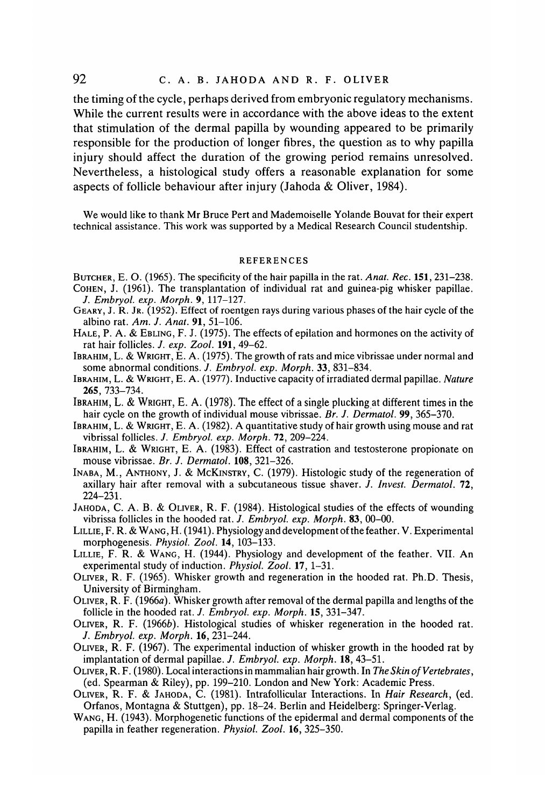the timing of the cycle, perhaps derived from embryonic regulatory mechanisms. While the current results were in accordance with the above ideas to the extent that stimulation of the dermal papilla by wounding appeared to be primarily responsible for the production of longer fibres, the question as to why papilla injury should affect the duration of the growing period remains unresolved. Nevertheless, a histological study offers a reasonable explanation for some aspects of follicle behaviour after injury (Jahoda & Oliver, 1984).

We would like to thank Mr Bruce Pert and Mademoiselle Yolande Bouvat for their expert technical assistance. This work was supported by a Medical Research Council studentship.

#### REFERENCES

- BUTCHER, E. O. (1965). The specificity of the hair papilla in the rat. *Anat. Rec.* 151,231-238. COHEN, J. (1961). The transplantation of individual rat and guinea-pig whisker papillae.
- /. *Embryol. exp. Morph.* 9, 117-127.
- GEARY, J. R. JR. (1952). Effect of roentgen rays during various phases of the hair cycle of the albino rat. *Am. J. Anat.* **91,** 51-106.
- HALE, P. A. & EBLING, F. J. (1975). The effects of epilation and hormones on the activity of rat hair follicles. /. *exp. Zool.* **191,** 49-62.
- IBRAHIM, L. & WRIGHT, E. A. (1975). The growth of rats and mice vibrissae under normal and some abnormal conditions. *J. Embryol. exp. Morph.* 33, 831-834.
- IBRAHIM, L. & WRIGHT, E. A. (1977). Inductive capacity of irradiated dermal papillae. *Nature* **265,** 733-734.
- IBRAHIM, L. & WRIGHT, E. A. (1978). The effect of a single plucking at different times in the hair cycle on the growth of individual mouse vibrissae. *Br. J. Dermatol.* **99,** 365-370.
- IBRAHIM, L. & WRIGHT, E. A. (1982). A quantitative study of hair growth using mouse and rat vibrissal follicles. *J. Embryol. exp. Morph.* 72, 209-224.
- IBRAHIM, L. & WRIGHT, E. A. (1983). Effect of castration and testosterone propionate on mouse vibrissae. *Br. J. Dermatol.* **108,** 321-326.
- INABA, M., ANTHONY, J. & MCKINSTRY, C. (1979). Histologic study of the regeneration of axillary hair after removal with a subcutaneous tissue shaver. *J. Invest. Dermatol.* 72, 224-231.
- JAHODA, C. A. B. & OLIVER, R. F. (1984). Histological studies of the effects of wounding vibrissa follicles in the hooded rat. /. *Embryol. exp. Morph.* 83, 00-00.
- LILLIE,F. R.& WANG, H. (1941). Physiology and development of the feather. V. Experimental morphogenesis. *Physiol. Zool.* 14, 103-133.
- LILLIE, F. R. & WANG, H. (1944). Physiology and development of the feather. VII. An experimental study of induction. *Physiol. Zool.* 17, 1-31.
- OLIVER, R. F. (1965). Whisker growth and regeneration in the hooded rat. Ph.D. Thesis, University of Birmingham.
- OLIVER, R. F. (1966a). Whisker growth after removal of the dermal papilla and lengths of the follicle in the hooded rat. /. *Embryol. exp. Morph.* 15, 331-347.
- OLIVER, R. F. (19666). Histological studies of whisker regeneration in the hooded rat. /. *Embryol. exp. Morph.* 16, 231-244.
- OLIVER, R. F. (1967). The experimental induction of whisker growth in the hooded rat by implantation of dermal papillae. /. *Embryol. exp. Morph.* **18,** 43-51.
- OLIVER, R. F. (1980). Local interactions in mammalian hair growth. In *The Skin of Vertebrates,* (ed. Spearman & Riley), pp. 199-210. London and New York: Academic Press.
- OLIVER, R. F. & JAHODA, C. (1981). Intrafollicular Interactions. In *Hair Research,* (ed. Orfanos, Montagna & Stuttgen), pp. 18-24. Berlin and Heidelberg: Springer-Verlag.
- WANG, H. (1943). Morphogenetic functions of the epidermal and dermal components of the papilla in feather regeneration. *Physiol. Zool.* 16, 325-350.